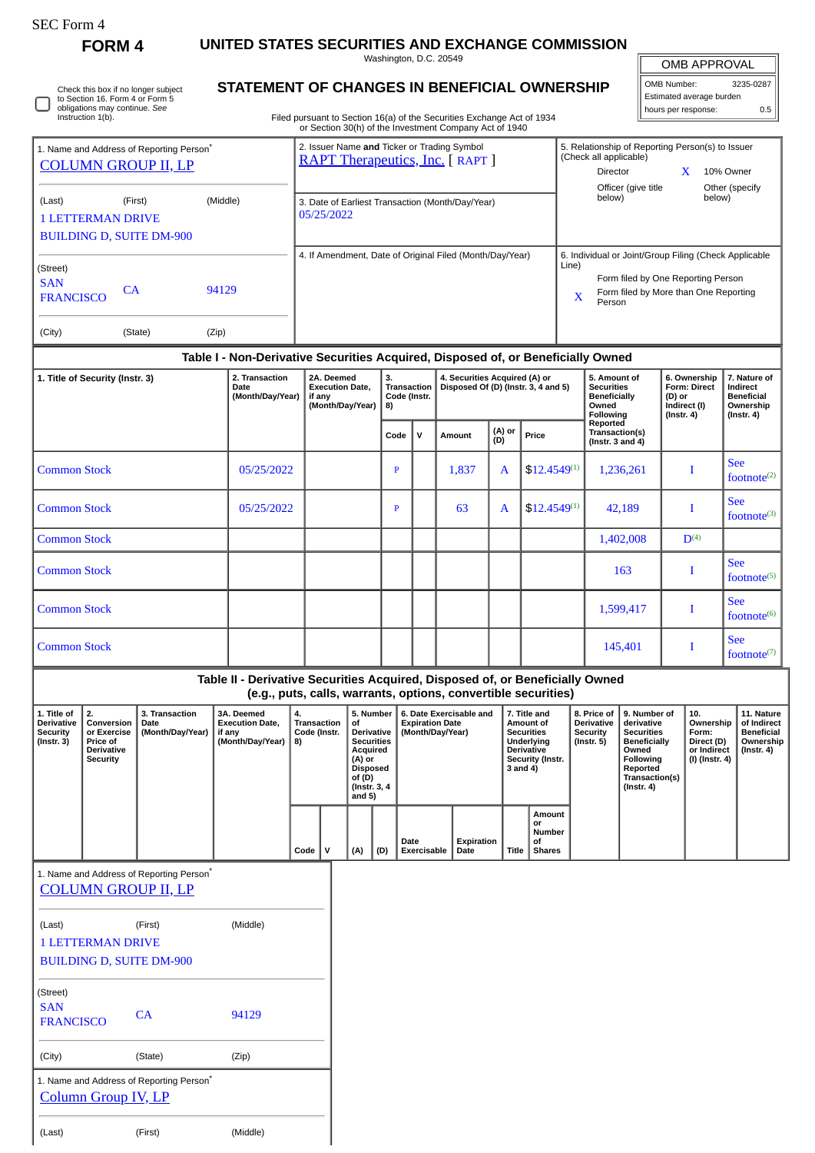| SEC Form. |  |
|-----------|--|
|-----------|--|

∩

Check this box if no longer subject to Section 16. Form 4 or Form 5 obligations may continue. *See* Instruction 1(b).

**FORM 4 UNITED STATES SECURITIES AND EXCHANGE COMMISSION**

Washington, D.C. 20549 **STATEMENT OF CHANGES IN BENEFICIAL OWNERSHIP**

| OMB APPROVAL |           |  |  |  |
|--------------|-----------|--|--|--|
| OMB Number:  | 3235-0287 |  |  |  |

Estimated average burden hours per response: 0.5

| Filed pursuant to Section 16(a) of the Securities Exchange Act of 1934 |  |
|------------------------------------------------------------------------|--|
| or Section 30(h) of the Investment Company Act of 1940                 |  |

| 1. Name and Address of Reporting Person <sup>®</sup><br><b>COLUMN GROUP II, LP</b> |                                                                                  |          |                  | 2. Issuer Name and Ticker or Trading Symbol<br><b>RAPT Therapeutics, Inc.</b> [RAPT ] |                                          |                                                                      |            | 5. Relationship of Reporting Person(s) to Issuer<br>(Check all applicable)                                                                     |                                               |        |                                               |  |  |
|------------------------------------------------------------------------------------|----------------------------------------------------------------------------------|----------|------------------|---------------------------------------------------------------------------------------|------------------------------------------|----------------------------------------------------------------------|------------|------------------------------------------------------------------------------------------------------------------------------------------------|-----------------------------------------------|--------|-----------------------------------------------|--|--|
|                                                                                    |                                                                                  |          |                  |                                                                                       |                                          |                                                                      |            | <b>Director</b>                                                                                                                                |                                               |        | 10% Owner                                     |  |  |
| (Last)<br><b>1 LETTERMAN DRIVE</b>                                                 | (First)<br><b>BUILDING D, SUITE DM-900</b>                                       | (Middle) |                  | 3. Date of Earliest Transaction (Month/Day/Year)<br>05/25/2022                        |                                          |                                                                      |            | Officer (give title<br>below)                                                                                                                  |                                               | below) | Other (specify                                |  |  |
| (Street)<br><b>SAN</b><br><b>FRANCISCO</b>                                         | CA                                                                               | 94129    |                  |                                                                                       |                                          | 4. If Amendment, Date of Original Filed (Month/Day/Year)             | Line)<br>X | 6. Individual or Joint/Group Filing (Check Applicable<br>Form filed by One Reporting Person<br>Form filed by More than One Reporting<br>Person |                                               |        |                                               |  |  |
| (City)                                                                             | (State)                                                                          | (Zip)    |                  |                                                                                       |                                          |                                                                      |            |                                                                                                                                                |                                               |        |                                               |  |  |
|                                                                                    | Table I - Non-Derivative Securities Acquired, Disposed of, or Beneficially Owned |          |                  |                                                                                       |                                          |                                                                      |            |                                                                                                                                                |                                               |        |                                               |  |  |
| 2. Transaction<br>1. Title of Security (Instr. 3)<br>Date                          |                                                                                  |          | (Month/Day/Year) | 2A. Deemed<br><b>Execution Date.</b><br>if any                                        | 3.<br><b>Transaction</b><br>Code (Instr. | 4. Securities Acquired (A) or<br>Disposed Of (D) (Instr. 3, 4 and 5) |            | 5. Amount of<br><b>Securities</b><br><b>Beneficially</b>                                                                                       | 6. Ownership<br><b>Form: Direct</b><br>(D) or |        | 7. Nature of<br>Indirect<br><b>Beneficial</b> |  |  |

## **(Month/Day/Year) if any (Month/Day/Year) 8) Code (Instr. Beneficially Owned Following Reported Transaction(s) (Instr. 3 and 4) (D) or Indirect (I) (Instr. 4) Beneficial Ownership (Instr. 4)**  $\text{Code}$  **V Amount**  $\begin{bmatrix} (A) \text{ or } \\ (D) \end{bmatrix}$  Price Common Stock 1 05/25/2022 P 1,837 A \$12.4549<sup>(1)</sup> 1,236,261 I See  $footnote<sup>(2)</sup>$ Common Stock 05/25/2022 P 63 A \$12.4549(1) 42,189 I See  $footnote<sup>(3)</sup>$ Common Stock 1,402,008 D(4) Common Stock 163 I See  $footnote<sup>(5)</sup>$ Common Stock 1,599,417 I See  $footnote<sup>(6)</sup>$ Common Stock 145,401 I See footnote(7)

| Table II - Derivative Securities Acquired, Disposed of, or Beneficially Owned<br>(e.g., puts, calls, warrants, options, convertible securities) |                                                                                     |                                            |                                                                    |                                                |   |                                                                                                                                                                                                                    |     |                                                                                                                   |                    |       |                                                                         |                                                                                                                                                |                                                                          |                                                                           |  |
|-------------------------------------------------------------------------------------------------------------------------------------------------|-------------------------------------------------------------------------------------|--------------------------------------------|--------------------------------------------------------------------|------------------------------------------------|---|--------------------------------------------------------------------------------------------------------------------------------------------------------------------------------------------------------------------|-----|-------------------------------------------------------------------------------------------------------------------|--------------------|-------|-------------------------------------------------------------------------|------------------------------------------------------------------------------------------------------------------------------------------------|--------------------------------------------------------------------------|---------------------------------------------------------------------------|--|
| 1. Title of<br><b>Derivative</b><br><b>Security</b><br>$($ Instr. 3 $)$                                                                         | 2.<br>Conversion<br>or Exercise<br>Price of<br><b>Derivative</b><br><b>Security</b> | 3. Transaction<br>Date<br>(Month/Day/Year) | 3A. Deemed<br><b>Execution Date,</b><br>if any<br>(Month/Day/Year) | 4.<br><b>Transaction</b><br>Code (Instr.<br>8) |   | 5. Number<br>6. Date Exercisable and<br>of<br><b>Expiration Date</b><br><b>Derivative</b><br>(Month/Day/Year)<br><b>Securities</b><br>Acquired<br>(A) or<br><b>Disposed</b><br>of (D)<br>(Instr. 3, 4)<br>and $5)$ |     | 7. Title and<br>Amount of<br><b>Securities</b><br>Underlying<br><b>Derivative</b><br>Security (Instr.<br>3 and 4) |                    |       | 8. Price of<br><b>Derivative</b><br><b>Security</b><br>$($ Instr. 5 $)$ | 9. Number of<br>derivative<br><b>Securities</b><br><b>Beneficially</b><br>Owned<br>Following<br>Reported<br>Transaction(s)<br>$($ Instr. 4 $)$ | 10.<br>Ownership<br>Form:<br>Direct (D)<br>or Indirect<br>(I) (Instr. 4) | 11. Nature<br>of Indirect<br><b>Beneficial</b><br>Ownership<br>(Instr. 4) |  |
|                                                                                                                                                 |                                                                                     |                                            |                                                                    | Code                                           | v | (A)                                                                                                                                                                                                                | (D) | Date<br>Exercisable                                                                                               | Expiration<br>Date | Title | Amount<br>or<br><b>Number</b><br>οf<br><b>Shares</b>                    |                                                                                                                                                |                                                                          |                                                                           |  |
|                                                                                                                                                 | 1. Name and Address of Reporting Person <sup>®</sup>                                |                                            |                                                                    |                                                |   |                                                                                                                                                                                                                    |     |                                                                                                                   |                    |       |                                                                         |                                                                                                                                                |                                                                          |                                                                           |  |
|                                                                                                                                                 |                                                                                     | <b>COLUMN GROUP II, LP</b>                 |                                                                    |                                                |   |                                                                                                                                                                                                                    |     |                                                                                                                   |                    |       |                                                                         |                                                                                                                                                |                                                                          |                                                                           |  |
| (Last)                                                                                                                                          | (Middle)<br>(First)                                                                 |                                            |                                                                    |                                                |   |                                                                                                                                                                                                                    |     |                                                                                                                   |                    |       |                                                                         |                                                                                                                                                |                                                                          |                                                                           |  |
| <b>1 LETTERMAN DRIVE</b><br><b>BUILDING D, SUITE DM-900</b>                                                                                     |                                                                                     |                                            |                                                                    |                                                |   |                                                                                                                                                                                                                    |     |                                                                                                                   |                    |       |                                                                         |                                                                                                                                                |                                                                          |                                                                           |  |

| (Street)                                                                           |         |          |
|------------------------------------------------------------------------------------|---------|----------|
| <b>SAN</b><br><b>FRANCISCO</b>                                                     | CA.     | 94129    |
| (City)                                                                             | (State) | (Zip)    |
| 1. Name and Address of Reporting Person <sup>®</sup><br><b>Column Group IV, LP</b> |         |          |
| (Last)                                                                             | (First) | (Middle) |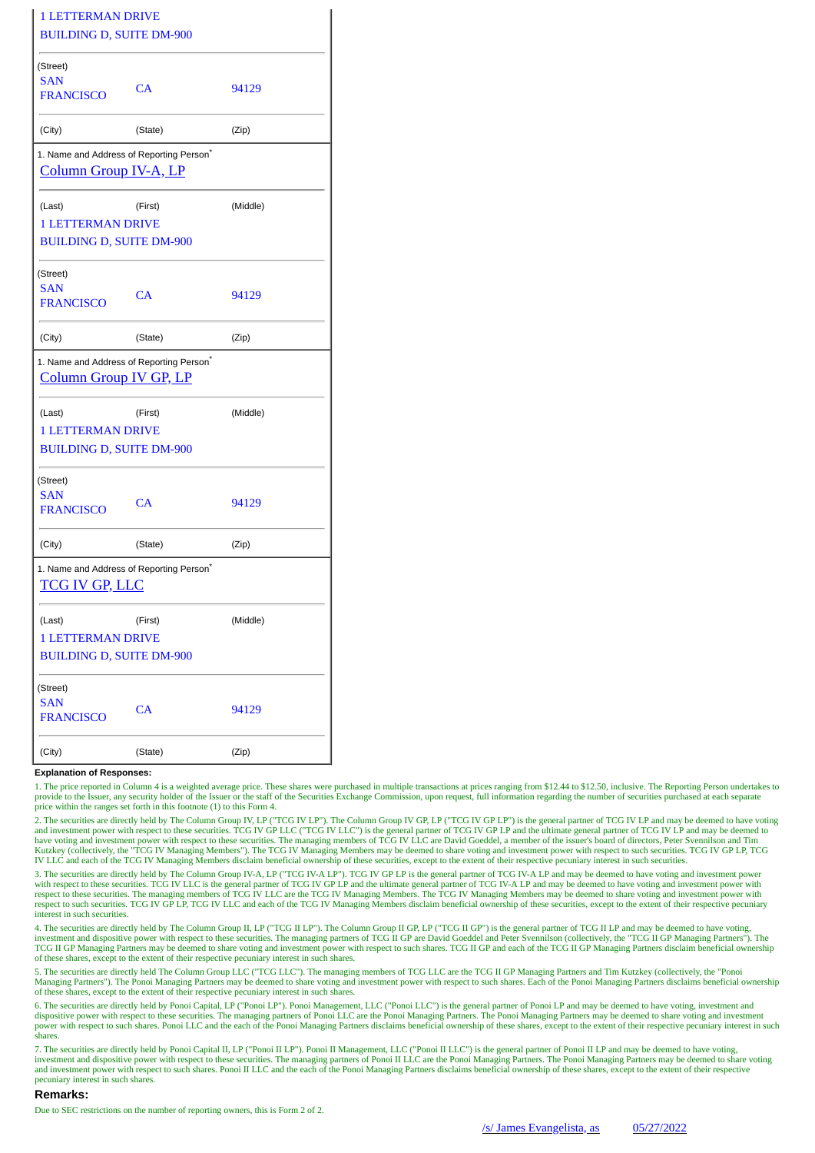| <b>1 LETTERMAN DRIVE</b>                                                              |         |          |
|---------------------------------------------------------------------------------------|---------|----------|
| <b>BUILDING D, SUITE DM-900</b>                                                       |         |          |
| (Street)<br><b>SAN</b><br><b>FRANCISCO</b>                                            | CA      | 94129    |
| (City)                                                                                | (State) | (Zip)    |
| 1. Name and Address of Reporting Person <sup>*</sup><br><b>Column Group IV-A, LP</b>  |         |          |
| (Last)                                                                                | (First) | (Middle) |
| <b>1 LETTERMAN DRIVE</b>                                                              |         |          |
| <b>BUILDING D, SUITE DM-900</b>                                                       |         |          |
| (Street)                                                                              |         |          |
| <b>SAN</b><br><b>FRANCISCO</b>                                                        | CA      | 94129    |
| (City)                                                                                | (State) | (Zip)    |
| 1. Name and Address of Reporting Person <sup>*</sup><br><b>Column Group IV GP, LP</b> |         |          |
| (Last)                                                                                | (First) | (Middle) |
| <b>1 LETTERMAN DRIVE</b>                                                              |         |          |
| <b>BUILDING D, SUITE DM-900</b>                                                       |         |          |
| (Street)                                                                              |         |          |
| <b>SAN</b><br><b>FRANCISCO</b>                                                        | CA      | 94129    |
| (City)                                                                                | (State) | (Zip)    |
| 1. Name and Address of Reporting Person <sup>*</sup><br><b>TCG IV GP, LLC</b>         |         |          |
| (Last)                                                                                | (First) | (Middle) |
| <b>1 LETTERMAN DRIVE</b>                                                              |         |          |
| <b>BUILDING D, SUITE DM-900</b>                                                       |         |          |
| (Street)                                                                              |         |          |
| <b>SAN</b><br><b>FRANCISCO</b>                                                        | CA      | 94129    |
| (City)                                                                                | (State) | (Zip)    |

## **Explanation of Responses:**

1. The price reported in Column 4 is a weighted average price. These shares were purchased in multiple transactions at prices ranging from \$12.44 to \$12.50, inclusive. The Reporting Person undertakes to provide to the Issuer, any security holder of the Issuer or the staff of the Securities Exchange Commission, upon request, full information regarding the number of securities purchased at each separate price within the ranges set forth in this footnote (1) to this Form 4.

2. The securities are directly held by The Column Group IV, LP ("TCG IV LP"). The Column Group IV GP, LP ("TCG IV GP LP") is the general partner of TCG IV LP and may be deemed to have voting<br>and investment power with respe have voting and investment power with respect to these securities. The managing members of TCG IV LLC are David Goeddel, a member of the issuer's board of directors, Peter Svennilson and Tim<br>Kutzkey (collectively, the "TCG IV LLC and each of the TCG IV Managing Members disclaim beneficial ownership of these securities, except to the extent of their respective pecuniary interest in such securities.

3. The securities are directly held by The Column Group IV-A, LP ("TCG IV-A LP"). TCG IV GP LP is the general partner of TCG IV-A LP and may be deemed to have voting and investment power with respect to these securities. TCG IV LLC is the general partner of TCG IV GP LP and the ultimate general partner of TCG IV-A LP and may be deemed to have voting and investment power with with respect to these securiti respect to these securities. The managing members of TCG IV LLC are the TCG IV Managing Members. The TCG IV Managing Members may be deemed to share voting and investment power with respect to such securities. TCG IV GP LP, TCG IV LLC and each of the TCG IV Managing Members disclaim beneficial ownership of these securities, except to the extent of their respective pecuniary interest in such securities.

4. The securities are directly held by The Column Group II, LP ("TCG II LP"). The Column Group II GP, LP ("TCG II GP") is the general partner of TCG II LP and may be deemed to have voting,<br>investment and dispositive power TCG II GP Managing Partners may be deemed to share voting and investment power with respect to such shares. TCG II GP and each of the TCG II GP Managing Partners disclaim beneficial ownership of these shares, except to the extent of their respective pecuniary interest in such shares.

5. The securities are directly held The Column Group LLC ("TCG LLC"). The managing members of TCG LLC are the TCG II GP Managing Partners and Tim Kutzkey (collectively, the "Ponoi<br>Managing Partners"). The Ponoi Managing Pa of these shares, except to the extent of their respective pecuniary interest in such shares.

6. The securities are directly held by Ponoi Capital, LP ("Ponoi LP"). Ponoi Management, LLC ("Ponoi LLC") is the general partner of Ponoi LP and may be deemed to have voting, investment and<br>dispositive power with respect power with respect to such shares. Ponoi LLC and the each of the Ponoi Managing Partners disclaims beneficial ownership of these shares, except to the extent of their respective pecuniary interest in such shares.

7. The securities are directly held by Ponoi Capital II, LP ("Ponoi II LP"). Ponoi II Management, LLC ("Ponoi II LLC") is the general partner of Ponoi II LP and may be deemed to have voting, investment and dispositive power with respect to these securities. The managing partners of Ponoi II LLC are the Ponoi Managing Partners. The Ponoi Managing Partners may be deemed to share voting<br>and investment power with pecuniary interest in such shares.

## **Remarks:**

Due to SEC restrictions on the number of reporting owners, this is Form 2 of 2.